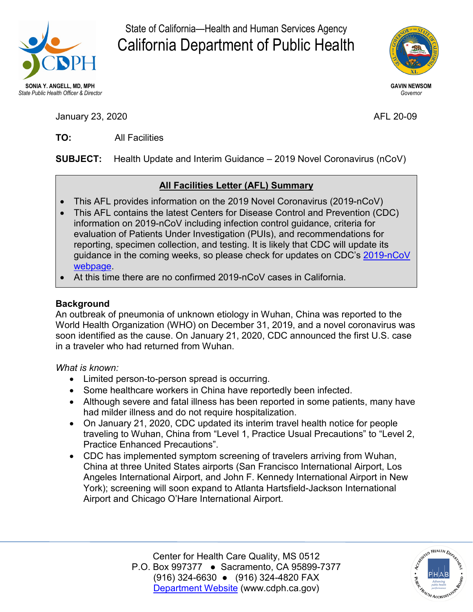

State of California—Health and Human Services Agency California Department of Public Health



January 23, 2020 AFL 20-09

TO: **TO:** All Facilities

**SUBJECT:** Health Update and Interim Guidance – 2019 Novel Coronavirus (nCoV)

# **All Facilities Letter (AFL) Summary**

- This AFL provides information on the 2019 Novel Coronavirus (2019-nCoV)
- information on 2019-nCoV including infection control guidance, criteria for guidance in the coming weeks, so please check for updates on CDC's <u>2019-nCoV</u> • This AFL contains the latest Centers for Disease Control and Prevention (CDC) evaluation of Patients Under Investigation (PUIs), and recommendations for reporting, specimen collection, and testing. It is likely that CDC will update its [webpage.](https://www.cdc.gov/coronavirus/2019-ncov/index.html)
- At this time there are no confirmed 2019-nCoV cases in California.

## **Background**

 World Health Organization (WHO) on December 31, 2019, and a novel coronavirus was An outbreak of pneumonia of unknown etiology in Wuhan, China was reported to the soon identified as the cause. On January 21, 2020, CDC announced the first U.S. case in a traveler who had returned from Wuhan.

## *What is known:*

- Limited person-to-person spread is occurring.
- Some healthcare workers in China have reportedly been infected.
- • Although severe and fatal illness has been reported in some patients, many have had milder illness and do not require hospitalization.
- • On January 21, 2020, CDC updated its interim travel health notice for people traveling to Wuhan, China from "Level 1, Practice Usual Precautions" to "Level 2, Practice Enhanced Precautions".
- CDC has implemented symptom screening of travelers arriving from Wuhan, China at three United States airports (San Francisco International Airport, Los Angeles International Airport, and John F. Kennedy International Airport in New York); screening will soon expand to Atlanta Hartsfield-Jackson International Airport and Chicago O'Hare International Airport.

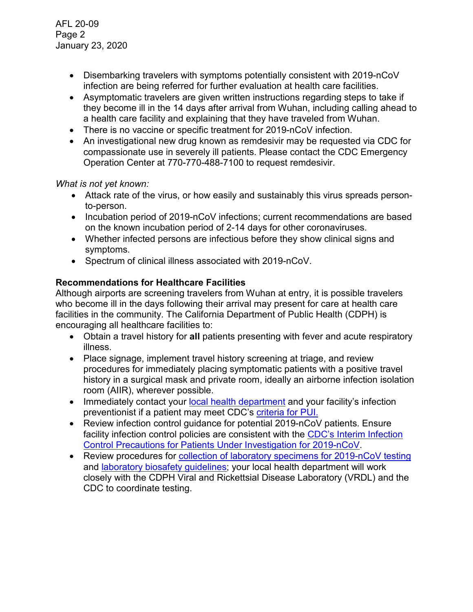- Disembarking travelers with symptoms potentially consistent with 2019-nCoV infection are being referred for further evaluation at health care facilities.
- a health care facility and explaining that they have traveled from Wuhan. • Asymptomatic travelers are given written instructions regarding steps to take if they become ill in the 14 days after arrival from Wuhan, including calling ahead to
- There is no vaccine or specific treatment for 2019-nCoV infection.
- An investigational new drug known as remdesivir may be requested via CDC for compassionate use in severely ill patients. Please contact the CDC Emergency Operation Center at 770-770-488-7100 to request remdesivir.

## *What is not yet known:*

- Attack rate of the virus, or how easily and sustainably this virus spreads personto-person.
- Incubation period of 2019-nCoV infections; current recommendations are based on the known incubation period of 2-14 days for other coronaviruses.
- Whether infected persons are infectious before they show clinical signs and symptoms.
- Spectrum of clinical illness associated with 2019-nCoV.

## **Recommendations for Healthcare Facilities**

 Although airports are screening travelers from Wuhan at entry, it is possible travelers who become ill in the days following their arrival may present for care at health care encouraging all healthcare facilities to: facilities in the community. The California Department of Public Health (CDPH) is

- • Obtain a travel history for **all** patients presenting with fever and acute respiratory illness.
- Place signage, implement travel history screening at triage, and review procedures for immediately placing symptomatic patients with a positive travel history in a surgical mask and private room, ideally an airborne infection isolation room (AIIR), wherever possible.
- Immediately contact your [local health department](https://www.cdph.ca.gov/Programs/CCLHO/CDPH%20Document%20Library/LHD_CD_Contact_Info_ADA.pdf) and your facility's infection preventionist if a patient may meet CDC's [criteria for PUI.](https://www.cdc.gov/coronavirus/2019-nCoV/clinical-criteria.html)
- Review infection control guidance for potential 2019-nCoV patients. Ensure facility infection control policies are consistent with the [CDC's Interim Infection](https://www.cdc.gov/coronavirus/2019-nCoV/infection-control.html) [Control Precautions for Patients Under Investigation for 2019-nCoV.](https://www.cdc.gov/coronavirus/2019-nCoV/infection-control.html)
- Review procedures for [collection of laboratory specimens for 2019-nCoV testing](https://www.cdc.gov/coronavirus/2019-nCoV/guidelines-clinical-specimens.html) and [laboratory biosafety guidelines;](https://www.cdc.gov/coronavirus/2019-nCoV/lab-biosafety-guidelines.html) your local health department will work closely with the CDPH Viral and Rickettsial Disease Laboratory (VRDL) and the CDC to coordinate testing.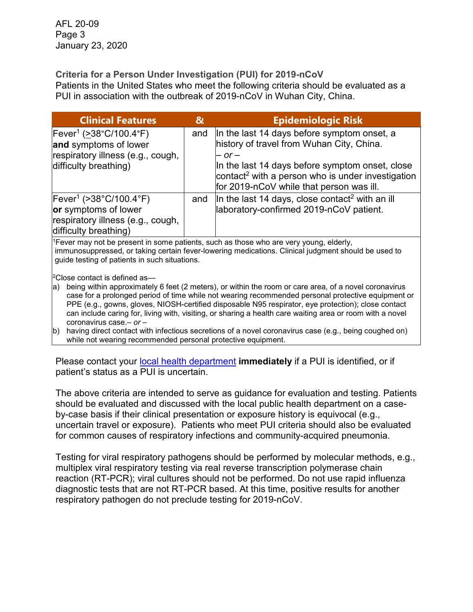## **Criteria for a Person Under Investigation (PUI) for 2019-nCoV**

 Patients in the United States who meet the following criteria should be evaluated as a PUI in association with the outbreak of 2019-nCoV in Wuhan City, China.

| <b>Clinical Features</b>                                                                                                                                                                                                                                   | &   | <b>Epidemiologic Risk</b>                                                                                                                                                                                                                                                        |
|------------------------------------------------------------------------------------------------------------------------------------------------------------------------------------------------------------------------------------------------------------|-----|----------------------------------------------------------------------------------------------------------------------------------------------------------------------------------------------------------------------------------------------------------------------------------|
| $[Fever^1 ( > 38°C/100.4°F)]$<br>and symptoms of lower<br>respiratory illness (e.g., cough,<br>difficulty breathing)                                                                                                                                       | and | In the last 14 days before symptom onset, a<br>history of travel from Wuhan City, China.<br>– or –<br>In the last 14 days before symptom onset, close<br>$\frac{1}{2}$ contact <sup>2</sup> with a person who is under investigation<br>for 2019-nCoV while that person was ill. |
| $[Fever^1 ( > 38°C/100.4 °F)$<br>or symptoms of lower<br>respiratory illness (e.g., cough,<br>difficulty breathing)                                                                                                                                        | and | In the last 14 days, close contact <sup>2</sup> with an ill<br>laboratory-confirmed 2019-nCoV patient.                                                                                                                                                                           |
| <sup>1</sup> Fever may not be present in some patients, such as those who are very young, elderly,<br>immunosuppressed, or taking certain fever-lowering medications. Clinical judgment should be used to<br>guide testing of patients in such situations. |     |                                                                                                                                                                                                                                                                                  |

 $2$ Close contact is defined as—

 PPE (e.g., gowns, gloves, NIOSH-certified disposable N95 respirator, eye protection); close contact a) being within approximately 6 feet (2 meters), or within the room or care area, of a novel coronavirus case for a prolonged period of time while not wearing recommended personal protective equipment or can include caring for, living with, visiting, or sharing a health care waiting area or room with a novel coronavirus case.*– or –*

b) having direct contact with infectious secretions of a novel coronavirus case (e.g., being coughed on) while not wearing recommended personal protective equipment.

 Please contact your [local health department](https://www.cdph.ca.gov/Programs/CCLHO/CDPH%20Document%20Library/LHD_CD_Contact_Info_ADA.pdf) **immediately** if a PUI is identified, or if patient's status as a PUI is uncertain.

 uncertain travel or exposure). Patients who meet PUI criteria should also be evaluated The above criteria are intended to serve as guidance for evaluation and testing. Patients should be evaluated and discussed with the local public health department on a caseby-case basis if their clinical presentation or exposure history is equivocal (e.g., for common causes of respiratory infections and community-acquired pneumonia.

 reaction (RT-PCR); viral cultures should not be performed. Do not use rapid influenza diagnostic tests that are not RT-PCR based. At this time, positive results for another Testing for viral respiratory pathogens should be performed by molecular methods, e.g., multiplex viral respiratory testing via real reverse transcription polymerase chain respiratory pathogen do not preclude testing for 2019-nCoV.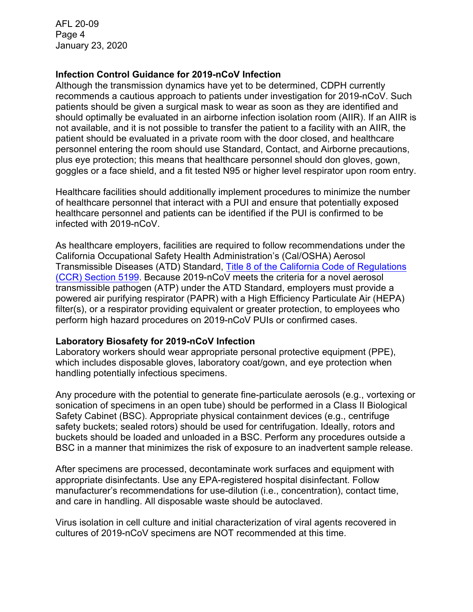#### **Infection Control Guidance for 2019-nCoV Infection**

 patients should be given a surgical mask to wear as soon as they are identified and should optimally be evaluated in an airborne infection isolation room (AIIR). If an AIIR is not available, and it is not possible to transfer the patient to a facility with an AIIR, the Although the transmission dynamics have yet to be determined, CDPH currently recommends a cautious approach to patients under investigation for 2019-nCoV. Such patient should be evaluated in a private room with the door closed, and healthcare personnel entering the room should use Standard, Contact, and Airborne precautions, plus eye protection; this means that healthcare personnel should don gloves, gown, goggles or a face shield, and a fit tested N95 or higher level respirator upon room entry.

 of healthcare personnel that interact with a PUI and ensure that potentially exposed healthcare personnel and patients can be identified if the PUI is confirmed to be Healthcare facilities should additionally implement procedures to minimize the number infected with 2019-nCoV.

 California Occupational Safety Health Administration's (Cal/OSHA) Aerosol transmissible pathogen (ATP) under the ATD Standard, employers must provide a perform high hazard procedures on 2019-nCoV PUIs or confirmed cases. As healthcare employers, facilities are required to follow recommendations under the Transmissible Diseases (ATD) Standard, Title [8 of the California Code of Regulations](http://www.dir.ca.gov/title8/5199.html)  [\(CCR\) Section 5199.](http://www.dir.ca.gov/title8/5199.html) Because 2019-nCoV meets the criteria for a novel aerosol powered air purifying respirator (PAPR) with a High Efficiency Particulate Air (HEPA) filter(s), or a respirator providing equivalent or greater protection, to employees who

#### **Laboratory Biosafety for 2019-nCoV Infection**

 handling potentially infectious specimens. Laboratory workers should wear appropriate personal protective equipment (PPE), which includes disposable gloves, laboratory coat/gown, and eye protection when

Any procedure with the potential to generate fine-particulate aerosols (e.g., vortexing or sonication of specimens in an open tube) should be performed in a Class II Biological Safety Cabinet (BSC). Appropriate physical containment devices (e.g., centrifuge safety buckets; sealed rotors) should be used for centrifugation. Ideally, rotors and buckets should be loaded and unloaded in a BSC. Perform any procedures outside a BSC in a manner that minimizes the risk of exposure to an inadvertent sample release.

After specimens are processed, decontaminate work surfaces and equipment with appropriate disinfectants. Use any EPA-registered hospital disinfectant. Follow manufacturer's recommendations for use-dilution (i.e., concentration), contact time, and care in handling. All disposable waste should be autoclaved.

 cultures of 2019-nCoV specimens are NOT recommended at this time. Virus isolation in cell culture and initial characterization of viral agents recovered in